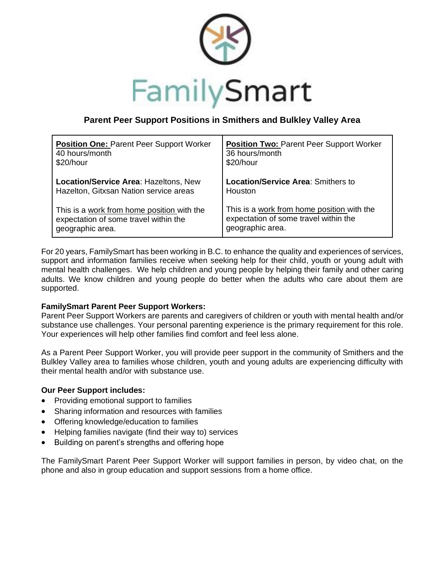

## **Parent Peer Support Positions in Smithers and Bulkley Valley Area**

| <b>Position One: Parent Peer Support Worker</b> | <b>Position Two: Parent Peer Support Worker</b> |
|-------------------------------------------------|-------------------------------------------------|
| 40 hours/month                                  | 36 hours/month                                  |
| \$20/hour                                       | \$20/hour                                       |
| Location/Service Area: Hazeltons, New           | <b>Location/Service Area: Smithers to</b>       |
| Hazelton, Gitxsan Nation service areas          | Houston                                         |
| This is a work from home position with the      | This is a work from home position with the      |
| expectation of some travel within the           | expectation of some travel within the           |
| geographic area.                                | geographic area.                                |

For 20 years, FamilySmart has been working in B.C. to enhance the quality and experiences of services, support and information families receive when seeking help for their child, youth or young adult with mental health challenges. We help children and young people by helping their family and other caring adults. We know children and young people do better when the adults who care about them are supported.

## **FamilySmart Parent Peer Support Workers:**

Parent Peer Support Workers are parents and caregivers of children or youth with mental health and/or substance use challenges. Your personal parenting experience is the primary requirement for this role. Your experiences will help other families find comfort and feel less alone.

As a Parent Peer Support Worker, you will provide peer support in the community of Smithers and the Bulkley Valley area to families whose children, youth and young adults are experiencing difficulty with their mental health and/or with substance use.

## **Our Peer Support includes:**

- Providing emotional support to families
- Sharing information and resources with families
- Offering knowledge/education to families
- Helping families navigate (find their way to) services
- Building on parent's strengths and offering hope

The FamilySmart Parent Peer Support Worker will support families in person, by video chat, on the phone and also in group education and support sessions from a home office.